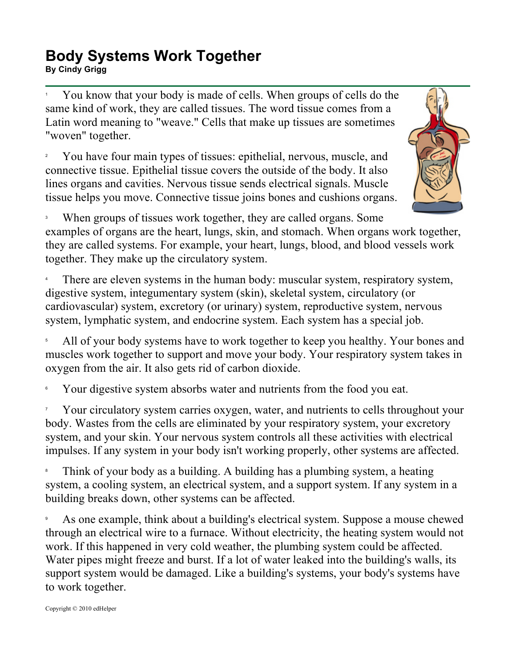## **Body Systems Work Together**  BU**CITY STARS IN THE READER OF STARS IS A SET OF STARS ISSUES BY CIND OF STARS ISSUES BY CIND OF STARS ISSUES B<br>By Cindy Grigg**

1 You know that your body is made of cells. When groups of cells do the same kind of work, they are called tissues. The word tissue comes from a Latin word meaning to "weave." Cells that make up tissues are sometimes "woven" together.

2 You have four main types of tissues: epithelial, nervous, muscle, and connective tissue. Epithelial tissue covers the outside of the body. It also lines organs and cavities. Nervous tissue sends electrical signals. Muscle tissue helps you move. Connective tissue joins bones and cushions organs.



3 When groups of tissues work together, they are called organs. Some examples of organs are the heart, lungs, skin, and stomach. When organs work together, they are called systems. For example, your heart, lungs, blood, and blood vessels work

together. They make up the circulatory system.

4 There are eleven systems in the human body: muscular system, respiratory system, digestive system, integumentary system (skin), skeletal system, circulatory (or cardiovascular) system, excretory (or urinary) system, reproductive system, nervous system, lymphatic system, and endocrine system. Each system has a special job.

5 All of your body systems have to work together to keep you healthy. Your bones and muscles work together to support and move your body. Your respiratory system takes in oxygen from the air. It also gets rid of carbon dioxide.

6 Your digestive system absorbs water and nutrients from the food you eat.

7 Your circulatory system carries oxygen, water, and nutrients to cells throughout your body. Wastes from the cells are eliminated by your respiratory system, your excretory system, and your skin. Your nervous system controls all these activities with electrical impulses. If any system in your body isn't working properly, other systems are affected.

8 Think of your body as a building. A building has a plumbing system, a heating system, a cooling system, an electrical system, and a support system. If any system in a building breaks down, other systems can be affected.

9 As one example, think about a building's electrical system. Suppose a mouse chewed through an electrical wire to a furnace. Without electricity, the heating system would not work. If this happened in very cold weather, the plumbing system could be affected. Water pipes might freeze and burst. If a lot of water leaked into the building's walls, its support system would be damaged. Like a building's systems, your body's systems have to work together.